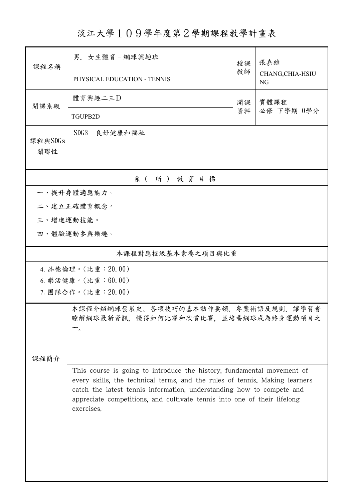## 淡江大學109學年度第2學期課程教學計畫表

| 課程名稱                                                                                                                                                                                                                                                                                                                     | 男. 女生體育-網球興趣班                                                                |          | 張嘉雄                           |  |  |  |  |
|--------------------------------------------------------------------------------------------------------------------------------------------------------------------------------------------------------------------------------------------------------------------------------------------------------------------------|------------------------------------------------------------------------------|----------|-------------------------------|--|--|--|--|
|                                                                                                                                                                                                                                                                                                                          | PHYSICAL EDUCATION - TENNIS                                                  | 教師       | CHANG, CHIA-HSIU<br><b>NG</b> |  |  |  |  |
| 開課系級                                                                                                                                                                                                                                                                                                                     | 體育興趣二三D                                                                      | 開課<br>資料 | 實體課程<br>必修 下學期 0學分            |  |  |  |  |
|                                                                                                                                                                                                                                                                                                                          | <b>TGUPB2D</b>                                                               |          |                               |  |  |  |  |
| 課程與SDGs<br>關聯性                                                                                                                                                                                                                                                                                                           | SDG3<br>良好健康和福祉                                                              |          |                               |  |  |  |  |
|                                                                                                                                                                                                                                                                                                                          | 系 (所) 教育目標                                                                   |          |                               |  |  |  |  |
| 一、提升身體適應能力。                                                                                                                                                                                                                                                                                                              |                                                                              |          |                               |  |  |  |  |
| 二、建立正確體育概念。                                                                                                                                                                                                                                                                                                              |                                                                              |          |                               |  |  |  |  |
| 三、增進運動技能。                                                                                                                                                                                                                                                                                                                |                                                                              |          |                               |  |  |  |  |
|                                                                                                                                                                                                                                                                                                                          | 四、體驗運動參與樂趣。                                                                  |          |                               |  |  |  |  |
| 本課程對應校級基本素養之項目與比重                                                                                                                                                                                                                                                                                                        |                                                                              |          |                               |  |  |  |  |
| 4. 品德倫理。(比重: 20.00)                                                                                                                                                                                                                                                                                                      |                                                                              |          |                               |  |  |  |  |
| 6. 樂活健康。(比重:60.00)                                                                                                                                                                                                                                                                                                       |                                                                              |          |                               |  |  |  |  |
| 7. 團隊合作。(比重:20.00)                                                                                                                                                                                                                                                                                                       |                                                                              |          |                               |  |  |  |  |
|                                                                                                                                                                                                                                                                                                                          | 本課程介紹網球發展史、各項技巧的基本動作要領、專業術語及規則,讓學習者<br>瞭解網球最新資訊, 懂得如何比賽和欣賞比賽, 並培養網球成為終身運動項目之 |          |                               |  |  |  |  |
| 课程简介                                                                                                                                                                                                                                                                                                                     |                                                                              |          |                               |  |  |  |  |
| This course is going to introduce the history, fundamental movement of<br>every skills, the technical terms, and the rules of tennis. Making learners<br>catch the latest tennis information, understanding how to compete and<br>appreciate competitions, and cultivate tennis into one of their lifelong<br>exercises. |                                                                              |          |                               |  |  |  |  |
|                                                                                                                                                                                                                                                                                                                          |                                                                              |          |                               |  |  |  |  |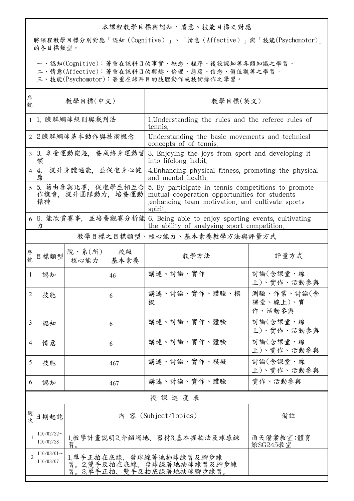## 本課程教學目標與認知、情意、技能目標之對應

將課程教學目標分別對應「認知(Cognitive)」、「情意(Affective)」與「技能(Psychomotor)」 的各目標類型。

一、認知(Cognitive):著重在該科目的事實、概念、程序、後設認知等各類知識之學習。

二、情意(Affective):著重在該科目的興趣、倫理、態度、信念、價值觀等之學習。

三、技能(Psychomotor):著重在該科目的肢體動作或技術操作之學習。

| 序<br>號         | 教學目標(中文)                                    |                                                                                                                      |            | 教學目標(英文)                                                                                                                                                           |                                  |  |  |
|----------------|---------------------------------------------|----------------------------------------------------------------------------------------------------------------------|------------|--------------------------------------------------------------------------------------------------------------------------------------------------------------------|----------------------------------|--|--|
| 1              | 1. 瞭解網球規則與裁判法                               |                                                                                                                      |            | 1. Understanding the rules and the referee rules of<br>tennis.                                                                                                     |                                  |  |  |
| $\overline{2}$ | 2.瞭解網球基本動作與技術概念                             |                                                                                                                      |            | Understanding the basic movements and technical<br>concepts of of tennis.                                                                                          |                                  |  |  |
| 3 <sup>1</sup> | 慣                                           | 3. 享受運動樂趣, 養成終身運動習                                                                                                   |            | 3. Enjoying the joys from sport and developing it<br>into lifelong habit.                                                                                          |                                  |  |  |
| 4              | 提升身體適能, 並促進身心健<br>4.<br>康                   |                                                                                                                      |            | 4. Enhancing physical fitness, promoting the physical<br>and mental health.                                                                                        |                                  |  |  |
|                | 5. 藉由參與比賽, 促進學生相互合<br>作機會,提升團隊動力,培養運動<br>精神 |                                                                                                                      |            | 5. By participate in tennis competitions to promote<br>mutual cooperation opportunities for students<br>enhancing team motivation, and cultivate sports<br>spirit. |                                  |  |  |
| 6              | 力                                           | 6. 能欣賞賽事,並培養觀賽分析能 6. Being able to enjoy sporting events, cultivating<br>the ability of analysing sport competition. |            |                                                                                                                                                                    |                                  |  |  |
|                | 教學目標之目標類型、核心能力、基本素養教學方法與評量方式                |                                                                                                                      |            |                                                                                                                                                                    |                                  |  |  |
| 序號             | 目標類型                                        | 院、系(所)<br>核心能力                                                                                                       | 校級<br>基本素養 | 教學方法                                                                                                                                                               | 評量方式                             |  |  |
| 1              | 認知                                          |                                                                                                                      | 46         | 講述、討論、實作                                                                                                                                                           | 討論(含課堂、線<br>上)、實作、活動參與           |  |  |
| 2              | 技能                                          |                                                                                                                      | 6          | 講述、討論、實作、體驗、模<br>擬                                                                                                                                                 | 測驗、作業、討論(含<br>課堂、線上)、實<br>作、活動參與 |  |  |
| 3              | 認知                                          |                                                                                                                      | 6          | 講述、討論、實作、體驗                                                                                                                                                        | 討論(含課堂、線<br>上)、實作、活動參與           |  |  |
| 4              | 情意                                          |                                                                                                                      | 6          | 講述、討論、實作、體驗                                                                                                                                                        | 討論(含課堂、線<br>上)、實作、活動參與           |  |  |
| 5              | 技能                                          |                                                                                                                      | 467        | 講述、討論、實作、模擬                                                                                                                                                        | 討論(含課堂、線<br>上)、實作、活動參與           |  |  |
| 6              | 認知                                          |                                                                                                                      | 467        | 講述、討論、實作、體驗                                                                                                                                                        | 實作、活動參與                          |  |  |
|                | 授課進度表                                       |                                                                                                                      |            |                                                                                                                                                                    |                                  |  |  |
| 週<br>次         | 日期起訖                                        |                                                                                                                      | 備註         |                                                                                                                                                                    |                                  |  |  |
| 1              | $110/02/22$ ~<br>110/02/28                  | 1.教學計畫說明2.介紹場地、器材3.基本握拍法及球感練<br>雨天備案教室:體育<br>習。<br>館SG245教室                                                          |            |                                                                                                                                                                    |                                  |  |  |
|                | $110/03/01$ ~<br>110/03/07                  | 1.單手正拍在底線、發球線著地抽球練習及腳步練<br>習。2.雙手反拍在底線、發球線著地抽球練習及腳步練<br>習。3.單手正拍、雙手反拍底線著地抽球腳步練習。                                     |            |                                                                                                                                                                    |                                  |  |  |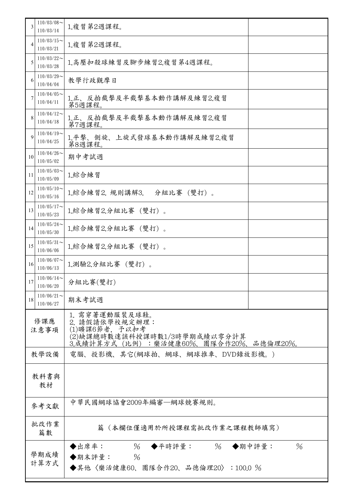| 3              | $110/03/08$ ~<br>110/03/14 | 1.複習第2週課程。                                                                                                                  |  |  |
|----------------|----------------------------|-----------------------------------------------------------------------------------------------------------------------------|--|--|
| $\overline{4}$ | $110/03/15$ ~<br>110/03/21 | 1.複習第2週課程。                                                                                                                  |  |  |
| 5              | $110/03/22$ ~<br>110/03/28 | 1.高壓扣殺球練習及腳步練習2.複習第4週課程。                                                                                                    |  |  |
| 6              | $110/03/29$ ~<br>110/04/04 | 教學行政觀摩日                                                                                                                     |  |  |
|                | $110/04/05$ ~<br>110/04/11 | 1.正、反拍截擊及半截擊基本動作講解及練習2.複習<br>第5週課程。                                                                                         |  |  |
| 8              | $110/04/12$ ~<br>110/04/18 | 1.正、反拍截擊及半截擊基本動作講解及練習2.複習<br>第7週課程。                                                                                         |  |  |
| $\mathbf Q$    | $110/04/19$ ~<br>110/04/25 | 1.平擊、側旋、上旋式發球基本動作講解及練習2.複習<br>第8週課程。                                                                                        |  |  |
| 10             | $110/04/26$ ~<br>110/05/02 | 期中考試週                                                                                                                       |  |  |
| 11             | $110/05/03$ ~<br>110/05/09 | 1.綜合練習                                                                                                                      |  |  |
| 12             | $110/05/10$ ~<br>110/05/16 | 1.綜合練習2. 規則講解3.<br>分組比賽 (雙打)。                                                                                               |  |  |
| 13             | $110/05/17$ ~<br>110/05/23 | 1.綜合練習2.分組比賽 (雙打)。                                                                                                          |  |  |
| 14             | $110/05/24$ ~<br>110/05/30 | 1.綜合練習2.分組比賽 (雙打)。                                                                                                          |  |  |
| 15             | $110/05/31$ ~<br>110/06/06 | 1.綜合練習2.分組比賽 (雙打)。                                                                                                          |  |  |
| 16             | $110/06/07$ ~<br>110/06/13 | 1.測驗2.分組比賽 (雙打)。                                                                                                            |  |  |
| 17             | $110/06/14$ ~<br>110/06/20 | 分組比賽(雙打)                                                                                                                    |  |  |
| 18             | $110/06/21$ ~<br>110/06/27 | 期末考試週                                                                                                                       |  |  |
| 修課應<br>注意事項    |                            | 1. 需穿著運動服裝及球鞋。<br>2. 請假請依學校規定辦理:<br>(1)曠課6節者, 予以扣考<br>(2)缺課總時數達該科授課時數1/3時學期成績以零分計算<br>3.成績計算方式(比例):樂活健康60%、團隊合作20%、品德倫理20%。 |  |  |
| 教學設備           |                            | 電腦、投影機、其它(網球拍、網球、網球推車、DVD錄放影機。)                                                                                             |  |  |
| 教科書與<br>教材     |                            |                                                                                                                             |  |  |
| 參考文獻           |                            | 中華民國網球協會2009年編審—網球競賽規則。                                                                                                     |  |  |
| 批改作業<br>篇數     |                            | 篇(本欄位僅適用於所授課程需批改作業之課程教師填寫)                                                                                                  |  |  |
| 學期成績<br>計算方式   |                            | $\%$<br>$\%$<br>$\%$<br>◆出席率:<br>◆平時評量:<br>◆期中評量:<br>◆期末評量:<br>$\frac{0}{6}$<br>◆其他〈樂活健康60、團隊合作20、品德倫理20〉:100.0 %           |  |  |